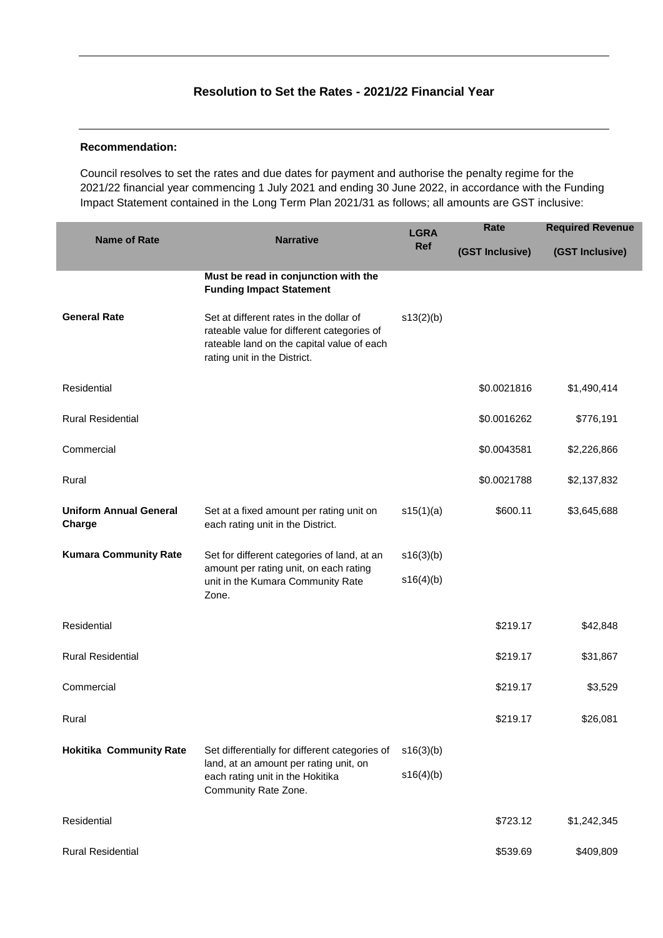## **Resolution to Set the Rates - 2021/22 Financial Year**

#### **Recommendation:**

Council resolves to set the rates and due dates for payment and authorise the penalty regime for the 2021/22 financial year commencing 1 July 2021 and ending 30 June 2022, in accordance with the Funding Impact Statement contained in the Long Term Plan 2021/31 as follows; all amounts are GST inclusive:

| <b>Name of Rate</b>                     | <b>Narrative</b>                                                                                                                                                    | <b>LGRA</b> | Rate            | <b>Required Revenue</b> |
|-----------------------------------------|---------------------------------------------------------------------------------------------------------------------------------------------------------------------|-------------|-----------------|-------------------------|
|                                         |                                                                                                                                                                     | Ref         | (GST Inclusive) | (GST Inclusive)         |
|                                         | Must be read in conjunction with the<br><b>Funding Impact Statement</b>                                                                                             |             |                 |                         |
| <b>General Rate</b>                     | Set at different rates in the dollar of<br>rateable value for different categories of<br>rateable land on the capital value of each<br>rating unit in the District. | s13(2)(b)   |                 |                         |
| Residential                             |                                                                                                                                                                     |             | \$0.0021816     | \$1,490,414             |
| <b>Rural Residential</b>                |                                                                                                                                                                     |             | \$0.0016262     | \$776,191               |
| Commercial                              |                                                                                                                                                                     |             | \$0.0043581     | \$2,226,866             |
| Rural                                   |                                                                                                                                                                     |             | \$0.0021788     | \$2,137,832             |
| <b>Uniform Annual General</b><br>Charge | Set at a fixed amount per rating unit on<br>each rating unit in the District.                                                                                       | s15(1)(a)   | \$600.11        | \$3,645,688             |
| <b>Kumara Community Rate</b>            | Set for different categories of land, at an<br>amount per rating unit, on each rating                                                                               | s16(3)(b)   |                 |                         |
|                                         | unit in the Kumara Community Rate<br>Zone.                                                                                                                          | s16(4)(b)   |                 |                         |
| Residential                             |                                                                                                                                                                     |             | \$219.17        | \$42,848                |
| <b>Rural Residential</b>                |                                                                                                                                                                     |             | \$219.17        | \$31,867                |
| Commercial                              |                                                                                                                                                                     |             | \$219.17        | \$3,529                 |
| Rural                                   |                                                                                                                                                                     |             | \$219.17        | \$26,081                |
| <b>Hokitika Community Rate</b>          | Set differentially for different categories of<br>land, at an amount per rating unit, on                                                                            | s16(3)(b)   |                 |                         |
|                                         | each rating unit in the Hokitika<br>Community Rate Zone.                                                                                                            | s16(4)(b)   |                 |                         |
| Residential                             |                                                                                                                                                                     |             | \$723.12        | \$1,242,345             |
| <b>Rural Residential</b>                |                                                                                                                                                                     |             | \$539.69        | \$409,809               |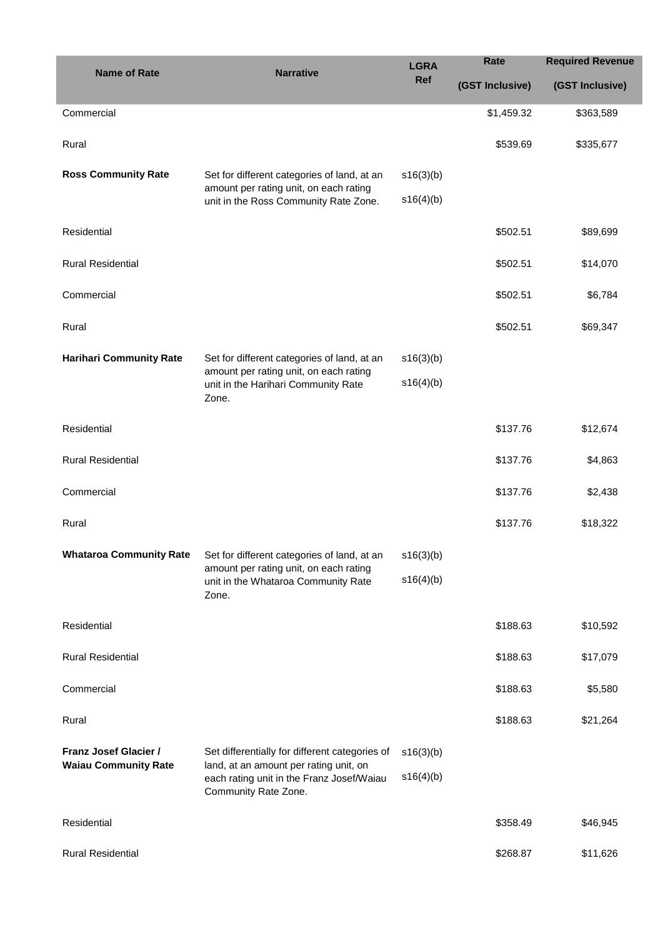| <b>Name of Rate</b>                                         | <b>Narrative</b>                                                                                                                                              | <b>LGRA</b>            | Rate            | <b>Required Revenue</b> |
|-------------------------------------------------------------|---------------------------------------------------------------------------------------------------------------------------------------------------------------|------------------------|-----------------|-------------------------|
|                                                             |                                                                                                                                                               | Ref                    | (GST Inclusive) | (GST Inclusive)         |
| Commercial                                                  |                                                                                                                                                               |                        | \$1,459.32      | \$363,589               |
| Rural                                                       |                                                                                                                                                               |                        | \$539.69        | \$335,677               |
| <b>Ross Community Rate</b>                                  | Set for different categories of land, at an<br>amount per rating unit, on each rating<br>unit in the Ross Community Rate Zone.                                | s16(3)(b)<br>s16(4)(b) |                 |                         |
| Residential                                                 |                                                                                                                                                               |                        | \$502.51        | \$89,699                |
| <b>Rural Residential</b>                                    |                                                                                                                                                               |                        | \$502.51        | \$14,070                |
| Commercial                                                  |                                                                                                                                                               |                        | \$502.51        | \$6,784                 |
| Rural                                                       |                                                                                                                                                               |                        | \$502.51        | \$69,347                |
| <b>Harihari Community Rate</b>                              | Set for different categories of land, at an                                                                                                                   | s16(3)(b)              |                 |                         |
|                                                             | amount per rating unit, on each rating<br>unit in the Harihari Community Rate<br>Zone.                                                                        | s16(4)(b)              |                 |                         |
| Residential                                                 |                                                                                                                                                               |                        | \$137.76        | \$12,674                |
| <b>Rural Residential</b>                                    |                                                                                                                                                               |                        | \$137.76        | \$4,863                 |
| Commercial                                                  |                                                                                                                                                               |                        | \$137.76        | \$2,438                 |
| Rural                                                       |                                                                                                                                                               |                        | \$137.76        | \$18,322                |
| <b>Whataroa Community Rate</b>                              | Set for different categories of land, at an<br>amount per rating unit, on each rating<br>unit in the Whataroa Community Rate<br>Zone.                         | s16(3)(b)              |                 |                         |
|                                                             |                                                                                                                                                               | s16(4)(b)              |                 |                         |
| Residential                                                 |                                                                                                                                                               |                        | \$188.63        | \$10,592                |
| <b>Rural Residential</b>                                    |                                                                                                                                                               |                        | \$188.63        | \$17,079                |
| Commercial                                                  |                                                                                                                                                               |                        | \$188.63        | \$5,580                 |
| Rural                                                       |                                                                                                                                                               |                        | \$188.63        | \$21,264                |
| <b>Franz Josef Glacier /</b><br><b>Waiau Community Rate</b> | Set differentially for different categories of<br>land, at an amount per rating unit, on<br>each rating unit in the Franz Josef/Waiau<br>Community Rate Zone. | s16(3)(b)<br>s16(4)(b) |                 |                         |
| Residential                                                 |                                                                                                                                                               |                        | \$358.49        | \$46,945                |
| <b>Rural Residential</b>                                    |                                                                                                                                                               |                        | \$268.87        | \$11,626                |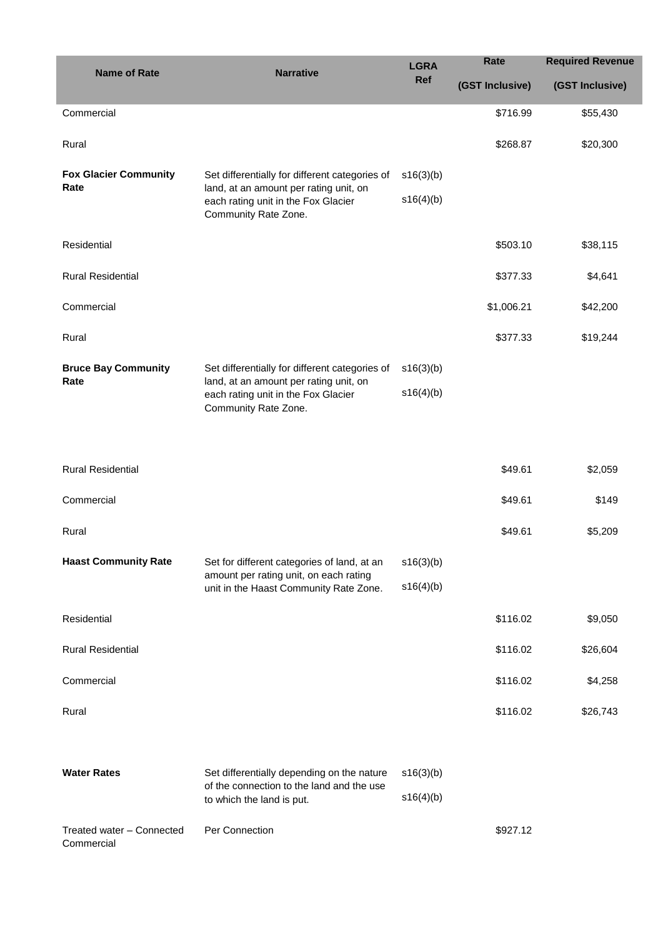| <b>Name of Rate</b>          | <b>Narrative</b>                                                                                      | <b>LGRA</b><br><b>Ref</b> | <b>Rate</b>     | <b>Required Revenue</b> |
|------------------------------|-------------------------------------------------------------------------------------------------------|---------------------------|-----------------|-------------------------|
|                              |                                                                                                       |                           | (GST Inclusive) | (GST Inclusive)         |
| Commercial                   |                                                                                                       |                           | \$716.99        | \$55,430                |
| Rural                        |                                                                                                       |                           | \$268.87        | \$20,300                |
| <b>Fox Glacier Community</b> | Set differentially for different categories of                                                        | s16(3)(b)                 |                 |                         |
| Rate                         | land, at an amount per rating unit, on<br>each rating unit in the Fox Glacier<br>Community Rate Zone. | s16(4)(b)                 |                 |                         |
| Residential                  |                                                                                                       |                           | \$503.10        | \$38,115                |
| <b>Rural Residential</b>     |                                                                                                       |                           | \$377.33        | \$4,641                 |
| Commercial                   |                                                                                                       |                           | \$1,006.21      | \$42,200                |
| Rural                        |                                                                                                       |                           | \$377.33        | \$19,244                |
| <b>Bruce Bay Community</b>   | Set differentially for different categories of                                                        | s16(3)(b)                 |                 |                         |
| Rate                         | land, at an amount per rating unit, on<br>each rating unit in the Fox Glacier<br>Community Rate Zone. | s16(4)(b)                 |                 |                         |

| <b>Rural Residential</b>                |                                                                                                                                 |           | \$49.61  | \$2,059  |
|-----------------------------------------|---------------------------------------------------------------------------------------------------------------------------------|-----------|----------|----------|
| Commercial                              |                                                                                                                                 |           | \$49.61  | \$149    |
| Rural                                   |                                                                                                                                 |           | \$49.61  | \$5,209  |
| <b>Haast Community Rate</b>             | Set for different categories of land, at an<br>amount per rating unit, on each rating<br>unit in the Haast Community Rate Zone. | s16(3)(b) |          |          |
|                                         |                                                                                                                                 | s16(4)(b) |          |          |
| Residential                             |                                                                                                                                 |           | \$116.02 | \$9,050  |
| <b>Rural Residential</b>                |                                                                                                                                 |           | \$116.02 | \$26,604 |
| Commercial                              |                                                                                                                                 |           | \$116.02 | \$4,258  |
| Rural                                   |                                                                                                                                 |           | \$116.02 | \$26,743 |
|                                         |                                                                                                                                 |           |          |          |
| <b>Water Rates</b>                      | Set differentially depending on the nature<br>of the connection to the land and the use                                         | s16(3)(b) |          |          |
|                                         | to which the land is put.                                                                                                       | s16(4)(b) |          |          |
| Treated water - Connected<br>Commercial | Per Connection                                                                                                                  |           | \$927.12 |          |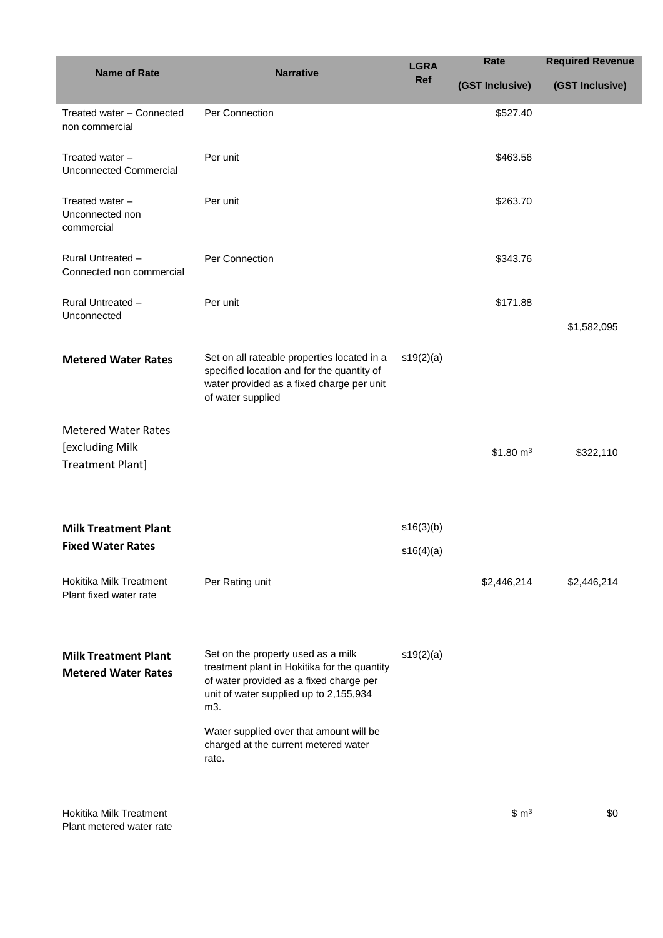| <b>Name of Rate</b>                                       | <b>Narrative</b>                                                                                                                                                               | <b>LGRA</b><br>Ref | Rate             | <b>Required Revenue</b> |
|-----------------------------------------------------------|--------------------------------------------------------------------------------------------------------------------------------------------------------------------------------|--------------------|------------------|-------------------------|
|                                                           |                                                                                                                                                                                |                    | (GST Inclusive)  | (GST Inclusive)         |
| Treated water - Connected<br>non commercial               | Per Connection                                                                                                                                                                 |                    | \$527.40         |                         |
| Treated water -<br><b>Unconnected Commercial</b>          | Per unit                                                                                                                                                                       |                    | \$463.56         |                         |
| Treated water -<br>Unconnected non<br>commercial          | Per unit                                                                                                                                                                       |                    | \$263.70         |                         |
| Rural Untreated -<br>Connected non commercial             | Per Connection                                                                                                                                                                 |                    | \$343.76         |                         |
| Rural Untreated -<br>Unconnected                          | Per unit                                                                                                                                                                       |                    | \$171.88         |                         |
|                                                           |                                                                                                                                                                                |                    |                  | \$1,582,095             |
| <b>Metered Water Rates</b>                                | Set on all rateable properties located in a<br>specified location and for the quantity of<br>water provided as a fixed charge per unit<br>of water supplied                    | s19(2)(a)          |                  |                         |
| <b>Metered Water Rates</b>                                |                                                                                                                                                                                |                    |                  |                         |
| [excluding Milk<br><b>Treatment Plant]</b>                |                                                                                                                                                                                |                    | \$1.80 $m3$      | \$322,110               |
|                                                           |                                                                                                                                                                                |                    |                  |                         |
| <b>Milk Treatment Plant</b>                               |                                                                                                                                                                                | s16(3)(b)          |                  |                         |
| <b>Fixed Water Rates</b>                                  |                                                                                                                                                                                | s16(4)(a)          |                  |                         |
| <b>Hokitika Milk Treatment</b><br>Plant fixed water rate  | Per Rating unit                                                                                                                                                                |                    | \$2,446,214      | \$2,446,214             |
| <b>Milk Treatment Plant</b><br><b>Metered Water Rates</b> | Set on the property used as a milk<br>treatment plant in Hokitika for the quantity<br>of water provided as a fixed charge per<br>unit of water supplied up to 2,155,934<br>m3. | s19(2)(a)          |                  |                         |
|                                                           | Water supplied over that amount will be<br>charged at the current metered water<br>rate.                                                                                       |                    |                  |                         |
| Hokitika Milk Treatment                                   |                                                                                                                                                                                |                    | \$m <sup>3</sup> | \$0                     |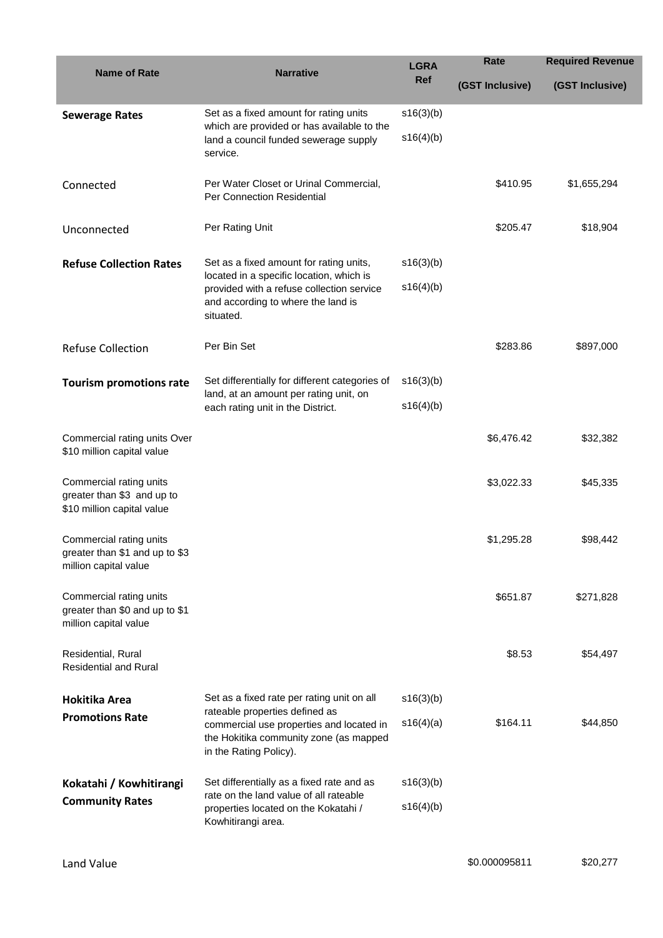| <b>Name of Rate</b>                                                                 | <b>Narrative</b>                                                                                                                                                                             | <b>LGRA</b> | Rate            | <b>Required Revenue</b> |
|-------------------------------------------------------------------------------------|----------------------------------------------------------------------------------------------------------------------------------------------------------------------------------------------|-------------|-----------------|-------------------------|
|                                                                                     |                                                                                                                                                                                              | Ref         | (GST Inclusive) | (GST Inclusive)         |
| <b>Sewerage Rates</b>                                                               | Set as a fixed amount for rating units<br>which are provided or has available to the<br>land a council funded sewerage supply<br>service.                                                    | s16(3)(b)   |                 |                         |
|                                                                                     |                                                                                                                                                                                              | s16(4)(b)   |                 |                         |
| Connected                                                                           | Per Water Closet or Urinal Commercial,<br>Per Connection Residential                                                                                                                         |             | \$410.95        | \$1,655,294             |
| Unconnected                                                                         | Per Rating Unit                                                                                                                                                                              |             | \$205.47        | \$18,904                |
| <b>Refuse Collection Rates</b>                                                      | Set as a fixed amount for rating units,<br>located in a specific location, which is                                                                                                          | s16(3)(b)   |                 |                         |
|                                                                                     | provided with a refuse collection service<br>and according to where the land is<br>situated.                                                                                                 | s16(4)(b)   |                 |                         |
| <b>Refuse Collection</b>                                                            | Per Bin Set                                                                                                                                                                                  |             | \$283.86        | \$897,000               |
| <b>Tourism promotions rate</b>                                                      | Set differentially for different categories of<br>land, at an amount per rating unit, on<br>each rating unit in the District.                                                                | s16(3)(b)   |                 |                         |
|                                                                                     |                                                                                                                                                                                              | s16(4)(b)   |                 |                         |
| Commercial rating units Over<br>\$10 million capital value                          |                                                                                                                                                                                              |             | \$6,476.42      | \$32,382                |
| Commercial rating units<br>greater than \$3 and up to<br>\$10 million capital value |                                                                                                                                                                                              |             | \$3,022.33      | \$45,335                |
| Commercial rating units<br>greater than \$1 and up to \$3<br>million capital value  |                                                                                                                                                                                              |             | \$1,295.28      | \$98,442                |
| Commercial rating units<br>greater than \$0 and up to \$1<br>million capital value  |                                                                                                                                                                                              |             | \$651.87        | \$271,828               |
| Residential, Rural<br><b>Residential and Rural</b>                                  |                                                                                                                                                                                              |             | \$8.53          | \$54,497                |
| Hokitika Area                                                                       | Set as a fixed rate per rating unit on all<br>rateable properties defined as<br>commercial use properties and located in<br>the Hokitika community zone (as mapped<br>in the Rating Policy). | s16(3)(b)   |                 |                         |
| <b>Promotions Rate</b>                                                              |                                                                                                                                                                                              | s16(4)(a)   | \$164.11        | \$44,850                |
| Kokatahi / Kowhitirangi                                                             | Set differentially as a fixed rate and as                                                                                                                                                    | s16(3)(b)   |                 |                         |
| <b>Community Rates</b>                                                              | rate on the land value of all rateable<br>properties located on the Kokatahi /<br>Kowhitirangi area.                                                                                         | s16(4)(b)   |                 |                         |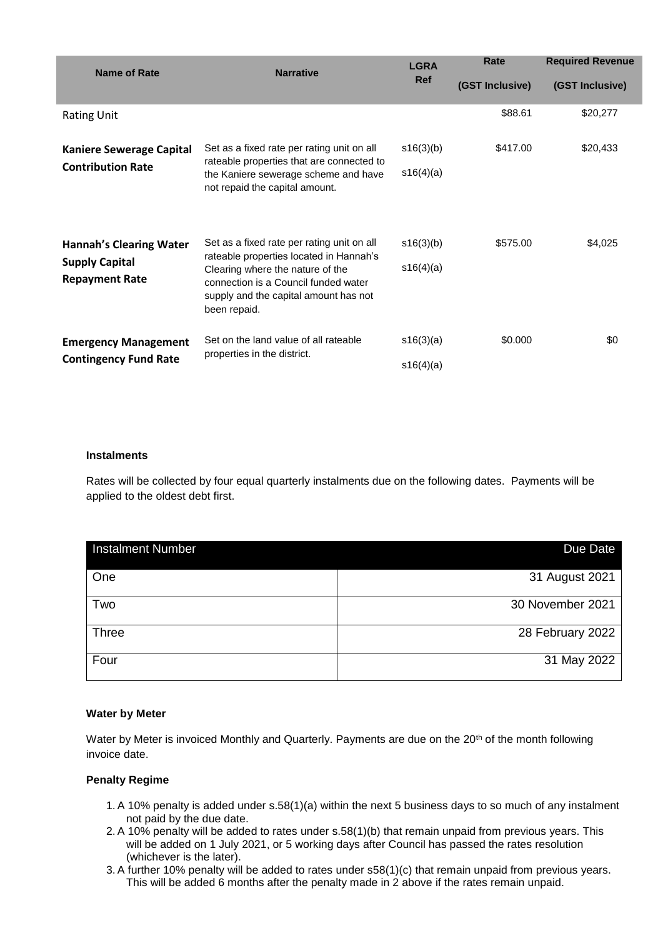| Name of Rate                                                | <b>Narrative</b>                                                                                                                  | <b>LGRA</b><br><b>Ref</b> | Rate            | <b>Required Revenue</b> |
|-------------------------------------------------------------|-----------------------------------------------------------------------------------------------------------------------------------|---------------------------|-----------------|-------------------------|
|                                                             |                                                                                                                                   |                           | (GST Inclusive) | (GST Inclusive)         |
| <b>Rating Unit</b>                                          |                                                                                                                                   |                           | \$88.61         | \$20,277                |
| <b>Kaniere Sewerage Capital</b><br><b>Contribution Rate</b> | Set as a fixed rate per rating unit on all<br>rateable properties that are connected to                                           | s16(3)(b)                 | \$417.00        | \$20,433                |
|                                                             | the Kaniere sewerage scheme and have<br>not repaid the capital amount.                                                            | s16(4)(a)                 |                 |                         |
| <b>Hannah's Clearing Water</b>                              | Set as a fixed rate per rating unit on all<br>rateable properties located in Hannah's                                             | s16(3)(b)                 | \$575.00        | \$4,025                 |
| <b>Supply Capital</b><br><b>Repayment Rate</b>              | Clearing where the nature of the<br>connection is a Council funded water<br>supply and the capital amount has not<br>been repaid. | s16(4)(a)                 |                 |                         |
| <b>Emergency Management</b><br><b>Contingency Fund Rate</b> | Set on the land value of all rateable<br>properties in the district.                                                              | s16(3)(a)                 | \$0,000         | \$0                     |
|                                                             |                                                                                                                                   | s16(4)(a)                 |                 |                         |

#### **Instalments**

Rates will be collected by four equal quarterly instalments due on the following dates. Payments will be applied to the oldest debt first.

| <b>Instalment Number</b> | Due Date         |
|--------------------------|------------------|
| One                      | 31 August 2021   |
| Two                      | 30 November 2021 |
| <b>Three</b>             | 28 February 2022 |
| Four                     | 31 May 2022      |

### **Water by Meter**

Water by Meter is invoiced Monthly and Quarterly. Payments are due on the 20<sup>th</sup> of the month following invoice date.

### **Penalty Regime**

- 1. A 10% penalty is added under s.58(1)(a) within the next 5 business days to so much of any instalment not paid by the due date.
- 2. A 10% penalty will be added to rates under s.58(1)(b) that remain unpaid from previous years. This will be added on 1 July 2021, or 5 working days after Council has passed the rates resolution (whichever is the later).
- 3. A further 10% penalty will be added to rates under s58(1)(c) that remain unpaid from previous years. This will be added 6 months after the penalty made in 2 above if the rates remain unpaid.